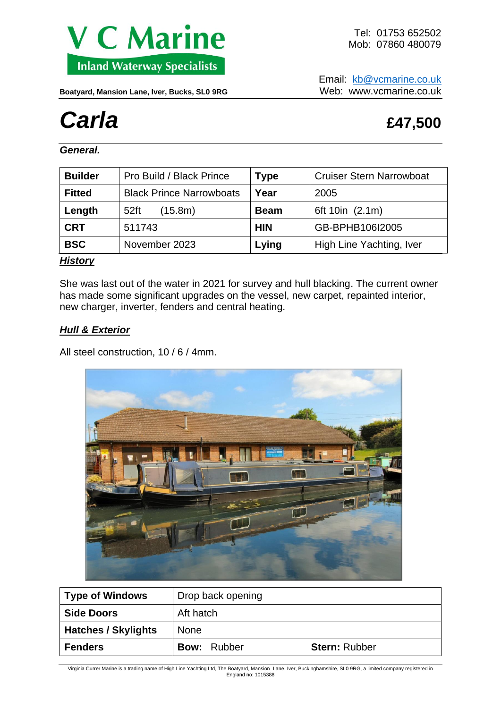

Email: [kb@vcmarine.co.uk](mailto:kb@vcmarine.co.uk) Boatyard, Mansion Lane, Iver, Bucks, SL0 9RG Web: WWW.vcmarine.co.uk

# *Carla* **£47,500**

*General.*

| <b>Builder</b> | Pro Build / Black Prince        | <b>Type</b> | <b>Cruiser Stern Narrowboat</b> |  |
|----------------|---------------------------------|-------------|---------------------------------|--|
| <b>Fitted</b>  | <b>Black Prince Narrowboats</b> | Year        | 2005                            |  |
| Length         | 52ft<br>(15.8m)                 | <b>Beam</b> | 6ft 10in (2.1m)                 |  |
| <b>CRT</b>     | 511743                          | <b>HIN</b>  | GB-BPHB106I2005                 |  |
| <b>BSC</b>     | November 2023                   | Lying       | High Line Yachting, Iver        |  |
| .              |                                 |             |                                 |  |

#### *History*

She was last out of the water in 2021 for survey and hull blacking. The current owner has made some significant upgrades on the vessel, new carpet, repainted interior, new charger, inverter, fenders and central heating.

### *Hull & Exterior*

All steel construction, 10 / 6 / 4mm.



| <b>Type of Windows</b>     | Drop back opening  |                      |  |
|----------------------------|--------------------|----------------------|--|
| <b>Side Doors</b>          | Aft hatch          |                      |  |
| <b>Hatches / Skylights</b> | <b>None</b>        |                      |  |
| <b>Fenders</b>             | <b>Bow: Rubber</b> | <b>Stern: Rubber</b> |  |

Virginia Currer Marine is a trading name of High Line Yachting Ltd, The Boatyard, Mansion Lane, Iver, Buckinghamshire, SL0 9RG, a limited company registered in England no: 1015388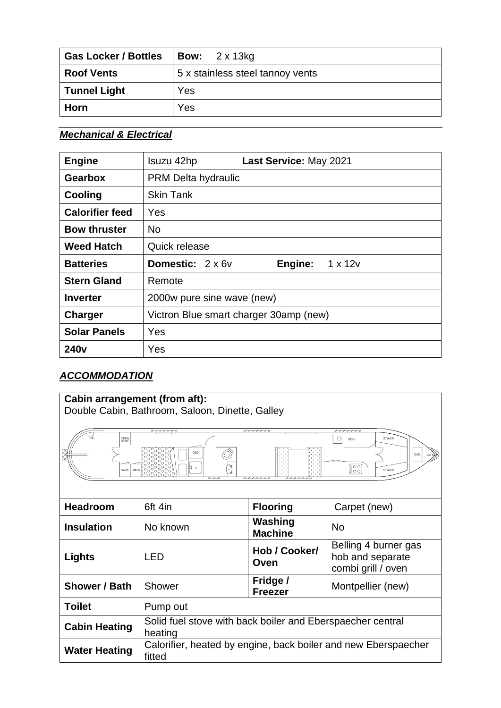| <b>Gas Locker / Bottles</b> | <b>Bow:</b> $2 \times 13$ kg     |
|-----------------------------|----------------------------------|
| <b>Roof Vents</b>           | 5 x stainless steel tannoy vents |
| <b>Tunnel Light</b>         | Yes                              |
| Horn                        | Yes                              |

## *Mechanical & Electrical*

| <b>Engine</b>          | Isuzu 42hp<br>Last Service: May 2021                        |  |  |
|------------------------|-------------------------------------------------------------|--|--|
| <b>Gearbox</b>         | PRM Delta hydraulic                                         |  |  |
| Cooling                | <b>Skin Tank</b>                                            |  |  |
| <b>Calorifier feed</b> | Yes                                                         |  |  |
| <b>Bow thruster</b>    | <b>No</b>                                                   |  |  |
| <b>Weed Hatch</b>      | Quick release                                               |  |  |
| <b>Batteries</b>       | <b>Domestic:</b> $2 \times 6v$<br>$1 \times 12v$<br>Engine: |  |  |
| <b>Stern Gland</b>     | Remote                                                      |  |  |
| <b>Inverter</b>        | 2000w pure sine wave (new)                                  |  |  |
| <b>Charger</b>         | Victron Blue smart charger 30amp (new)                      |  |  |
| <b>Solar Panels</b>    | Yes                                                         |  |  |
| <b>240v</b>            | Yes                                                         |  |  |

# *ACCOMMODATION*

| Cabin arrangement (from aft):<br>Double Cabin, Bathroom, Saloon, Dinette, Galley                           |                                                                          |                            |                                                                |  |  |  |  |
|------------------------------------------------------------------------------------------------------------|--------------------------------------------------------------------------|----------------------------|----------------------------------------------------------------|--|--|--|--|
| $\circ$<br>ST/LKR<br>OPEN<br>STGE<br><b>FDG</b><br>CBD<br>GAS<br>一党<br>888<br>ń⊱ o<br>ST/LKR<br><b>WDB</b> |                                                                          |                            |                                                                |  |  |  |  |
| <b>Headroom</b>                                                                                            | 6ft 4in                                                                  | <b>Flooring</b>            | Carpet (new)                                                   |  |  |  |  |
| <b>Insulation</b>                                                                                          | No known                                                                 | Washing<br><b>Machine</b>  | <b>No</b>                                                      |  |  |  |  |
| Lights                                                                                                     | <b>LED</b>                                                               | Hob / Cooker/<br>Oven      | Belling 4 burner gas<br>hob and separate<br>combi grill / oven |  |  |  |  |
| Shower / Bath                                                                                              | Shower                                                                   | Fridge /<br><b>Freezer</b> | Montpellier (new)                                              |  |  |  |  |
| <b>Toilet</b>                                                                                              | Pump out                                                                 |                            |                                                                |  |  |  |  |
| <b>Cabin Heating</b>                                                                                       | Solid fuel stove with back boiler and Eberspaecher central<br>heating    |                            |                                                                |  |  |  |  |
| <b>Water Heating</b>                                                                                       | Calorifier, heated by engine, back boiler and new Eberspaecher<br>fitted |                            |                                                                |  |  |  |  |